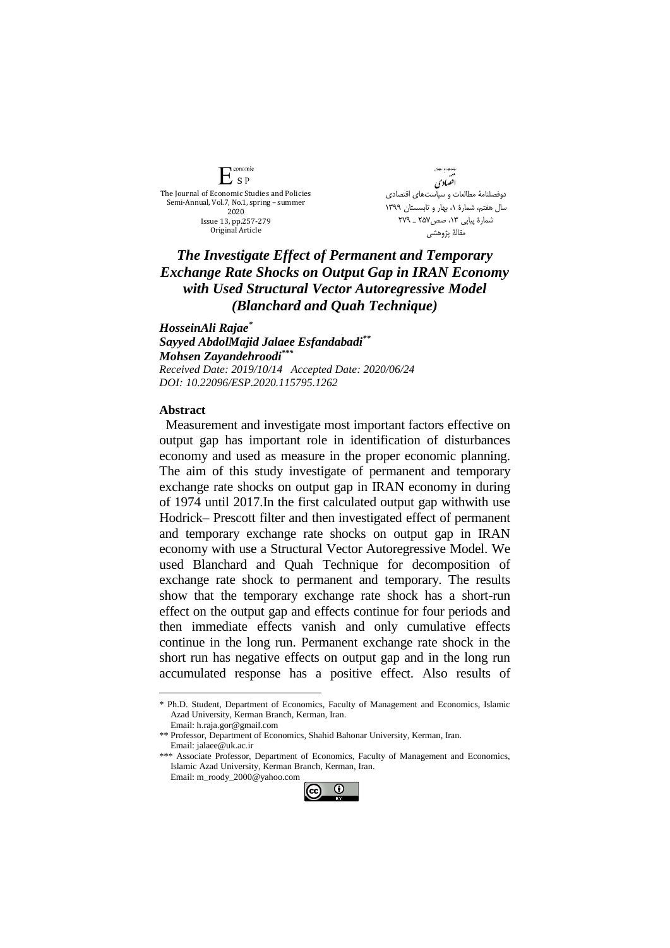conomic  $E_{SP}$ The Journal of Economic Studies and Policies Semi-Annual, Vol.7, No.1, spring – summer 2020 Issue 13, pp.257-279 Original Article

.<br>هامات و باست!ی اقضادي دوفصلنامۀ مطالعات و سیاستهای اقتصادی سال هفتم، شمارة ،1 بهار و تابسستان 1399 شمارة پیاپي ،13 صص257 ـ 279 مقالۀ پژوهشي

## *The Investigate Effect of Permanent and Temporary Exchange Rate Shocks on Output Gap in IRAN Economy with Used Structural Vector Autoregressive Model (Blanchard and Quah Technique)*

*HosseinAli Rajae\* Sayyed AbdolMajid Jalaee Esfandabadi\*\* Mohsen Zayandehroodi\*\*\* Received Date: 2019/10/14 Accepted Date: 2020/06/24 DOI: 10.22096/ESP.2020.115795.1262*

## **Abstract**

<u>.</u>

Measurement and investigate most important factors effective on output gap has important role in identification of disturbances economy and used as measure in the proper economic planning. The aim of this study investigate of permanent and temporary exchange rate shocks on output gap in IRAN economy in during of 1974 until 2017.In the first calculated output gap withwith use Hodrick– Prescott filter and then investigated effect of permanent and temporary exchange rate shocks on output gap in IRAN economy with use a Structural Vector Autoregressive Model. We used Blanchard and Quah Technique for decomposition of exchange rate shock to permanent and temporary. The results show that the temporary exchange rate shock has a short-run effect on the output gap and effects continue for four periods and then immediate effects vanish and only cumulative effects continue in the long run. Permanent exchange rate shock in the short run has negative effects on output gap and in the long run accumulated response has a positive effect. Also results of

<sup>\*\*\*</sup> Associate Professor, Department of Economics, Faculty of Management and Economics, Islamic Azad University, Kerman Branch, Kerman, Iran. Email: m\_roody\_2000@yahoo.com



<sup>\*</sup> Ph.D. Student, Department of Economics, Faculty of Management and Economics, Islamic Azad University, Kerman Branch, Kerman, Iran.

Email: h.raja.gor@gmail.com \*\* Professor, Department of Economics, Shahid Bahonar University, Kerman, Iran.

Email: jalaee@uk.ac.ir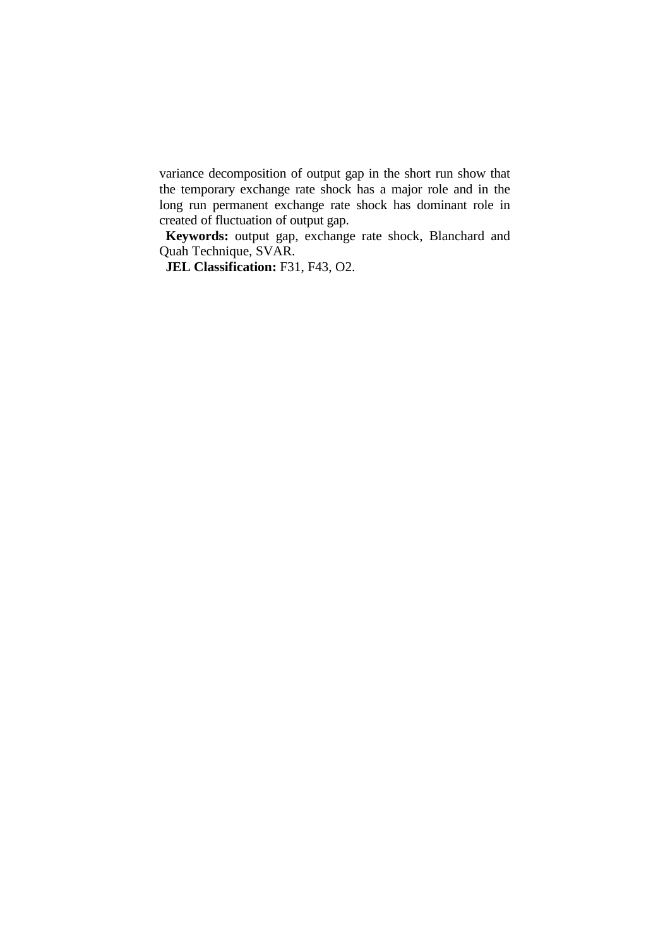variance decomposition of output gap in the short run show that the temporary exchange rate shock has a major role and in the long run permanent exchange rate shock has dominant role in created of fluctuation of output gap.

**Keywords:** output gap, exchange rate shock, Blanchard and Quah Technique, SVAR.

**JEL Classification:** F31, F43, O2.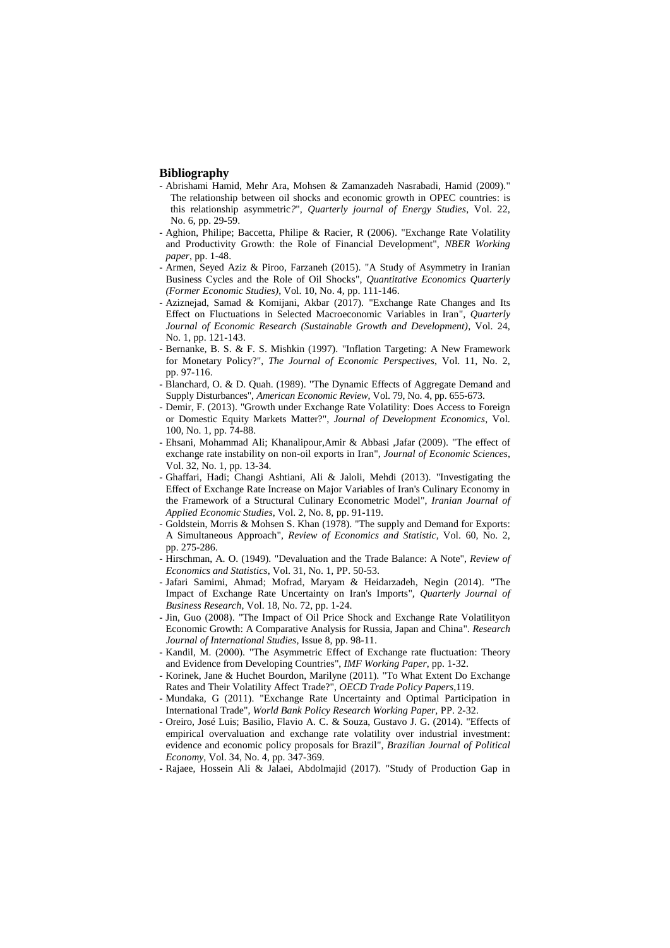## **Bibliography**

- Abrishami Hamid, Mehr Ara, Mohsen & Zamanzadeh Nasrabadi, Hamid (2009)." The relationship between oil shocks and economic growth in OPEC countries: is this relationship asymmetric*?*"*, Quarterly journal of Energy Studies*, Vol. 22, No. 6, pp. 29-59.
- Aghion, Philipe; Baccetta, Philipe & Racier, R (2006). "Exchange Rate Volatility and Productivity Growth: the Role of Financial Development", *NBER Working paper*, pp. 1-48.
- Armen, Seyed Aziz & Piroo, Farzaneh (2015). "A Study of Asymmetry in Iranian Business Cycles and the Role of Oil Shocks", *Quantitative Economics Quarterly (Former Economic Studies)*, Vol. 10, No. 4, pp. 111-146.
- Aziznejad, Samad & Komijani, Akbar (2017). "Exchange Rate Changes and Its Effect on Fluctuations in Selected Macroeconomic Variables in Iran", *Quarterly Journal of Economic Research (Sustainable Growth and Development)*, Vol. 24, No. 1, pp. 121-143.
- Bernanke, B. S. & F. S. Mishkin (1997). "Inflation Targeting: A New Framework for Monetary Policy?", *The Journal of Economic Perspectives*, Vol. 11, No. 2, pp. 97-116.
- Blanchard, O. & D. Quah. (1989). "The Dynamic Effects of Aggregate Demand and Supply Disturbances", *American Economic Review*, Vol. 79, No. 4, pp. 655-673.
- Demir, F. (2013). "Growth under Exchange Rate Volatility: Does Access to Foreign or Domestic Equity Markets Matter?", *Journal of Development Economics*, Vol. 100, No. 1, pp. 74-88.
- Ehsani, Mohammad Ali; Khanalipour,Amir & Abbasi ,Jafar (2009). "The effect of exchange rate instability on non-oil exports in Iran", *Journal of Economic Sciences*, Vol. 32, No. 1, pp. 13-34.
- Ghaffari, Hadi; Changi Ashtiani, Ali & Jaloli, Mehdi (2013). "Investigating the Effect of Exchange Rate Increase on Major Variables of Iran's Culinary Economy in the Framework of a Structural Culinary Econometric Model", *Iranian Journal of Applied Economic Studies*, Vol. 2, No. 8, pp. 91-119.
- Goldstein, Morris & Mohsen S. Khan (1978). "The supply and Demand for Exports: A Simultaneous Approach", *Review of Economics and Statistic*, Vol. 60, No. 2, pp. 275-286.
- Hirschman, A. O. (1949). "Devaluation and the Trade Balance: A Note", *Review of Economics and Statistics*, Vol. 31, No. 1, PP. 50-53.
- Jafari Samimi, Ahmad; Mofrad, Maryam & Heidarzadeh, Negin (2014). "The Impact of Exchange Rate Uncertainty on Iran's Imports"*, Quarterly Journal of Business Research*, Vol. 18, No. 72, pp. 1-24.
- Jin, Guo (2008). "The Impact of Oil Price Shock and Exchange Rate Volatilityon Economic Growth: A Comparative Analysis for Russia, Japan and China". *Research Journal of International Studies*, Issue 8, pp. 98-11.
- Kandil, M. (2000). "The Asymmetric Effect of Exchange rate fluctuation: Theory and Evidence from Developing Countries", *IMF Working Paper*, pp. 1-32.
- Korinek, Jane & Huchet Bourdon, Marilyne (2011). "To What Extent Do Exchange Rates and Their Volatility Affect Trade?", *OECD Trade Policy Papers*,119.
- Mundaka, G (2011). "Exchange Rate Uncertainty and Optimal Participation in International Trade", *World Bank Policy Research Working Paper,* PP. 2-32.
- Oreiro, José Luis; Basilio, Flavio A. C. & Souza, Gustavo J. G. (2014). "Effects of empirical overvaluation and exchange rate volatility over industrial investment: evidence and economic policy proposals for Brazil", *Brazilian Journal of Political Economy*, Vol. 34, No. 4, pp. 347-369.
- Rajaee, Hossein Ali & Jalaei, Abdolmajid (2017). "Study of Production Gap in